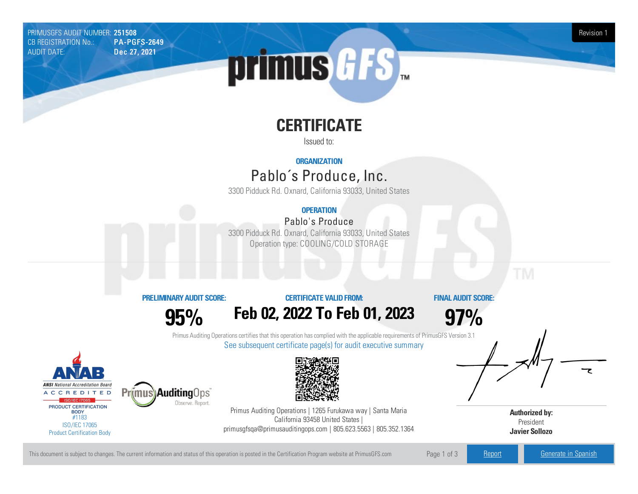PRIMUSGFS AUDIT NUMBER: **251508 Revision 1**<br>CB REGISTRATION No.: **PA-PGFS-2649** CB REGISTRATION No.: AUDIT DATE: Dec 27, 2021

# primus *GFS*

# **CERTIFICATE**

Issued to:

#### **ORGANIZATION**

## Pablo´s Produce, Inc.

3300Pidduck Rd. Oxnard, California93033, United States

## **OPERATION**

### Pablo's Produce

3300 Pidduck Rd. Oxnard, California 93033, United States Operation type: COOLING/COLD STORAGE

#### **PRELIMINARYAUDIT SCORE:**

**95%**

Observe, Report.

#### **CERTIFICATE VALIDFROM:**

**Feb 02, 2022 To Feb 01, 2023**

**FINAL AUDIT SCORE:**

**97%**

Primus Auditing Operations certifies that this operation has complied with the applicable requirements of PrimusGFS Version 3.1 See subsequent certificate page(s) for audit executive summary





Primus Auditing Operations | 1265 Furukawa way | Santa Maria California 93458 United States | primusgfsqa@primusauditingops.com | 805.623.5563 | 805.352.1364

**Authorized by:** President **Javier Sollozo**

This document is subject to changes. The current information and status of this operation is posted in the Certification Program website at PrimusGFS.com Page 1 of 3 [Report](https://secure.azzule.com/PGFSDocuments/PGFS_AuditReport251508_2900_1_EN.pdf) [Generate](https://secure.azzule.com/PrimusGFSAudits/pdfGenerator.aspx?AuditHeaderID=02837611750193781077066341440055565513496&AppId=67116092679&LanguageID=1&UserId=1) in Spanish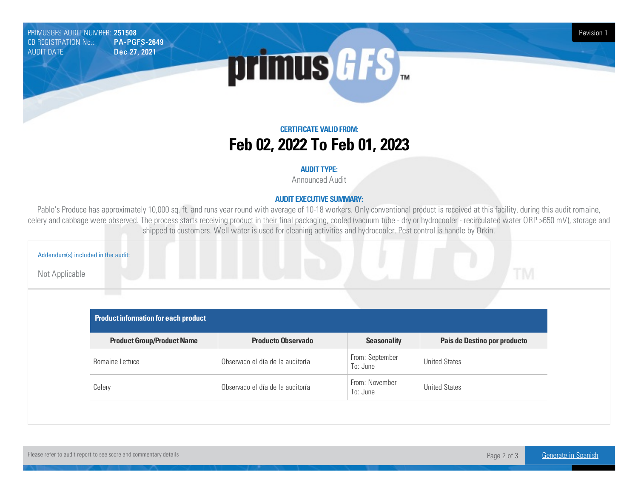PRIMUSGFS AUDIT NUMBER: **251508 Revision 1**<br>CB REGISTRATION No.: **PA-PGFS-2649** CB REGISTRATION No.: AUDIT DATE: Dec 27, 2021



**CERTIFICATE VALIDFROM: Feb 02, 2022 To Feb 01, 2023**

#### **AUDIT TYPE:**

Announced Audit

#### **AUDIT EXECUTIVE SUMMARY:**

Pablo's Produce has approximately 10,000 sq. ft. and runs year round with average of 10-18 workers. Only conventional product is received at this facility, during this audit romaine, celery and cabbage were observed. The process starts receiving product in their final packaging, cooled (vacuum tube - dry or hydrocooler - recirculated water ORP >650 mV), storage and shipped to customers. Well water is used for cleaning activities and hydrocooler. Pest control is handle by Orkin.

| Addendum(s) included in the audit: |                                             |                                         |                             |                              |  |
|------------------------------------|---------------------------------------------|-----------------------------------------|-----------------------------|------------------------------|--|
| Not Applicable                     |                                             | <u> De Barbara (Barbara) e por esta</u> |                             | <b>TM</b>                    |  |
|                                    |                                             |                                         |                             |                              |  |
|                                    | <b>Product information for each product</b> |                                         |                             |                              |  |
|                                    | <b>Product Group/Product Name</b>           | <b>Producto Observado</b>               | <b>Seasonality</b>          | Pais de Destino por producto |  |
|                                    | Romaine Lettuce                             | Observado el día de la auditoría        | From: September<br>To: June | <b>United States</b>         |  |
|                                    |                                             | Observado el día de la auditoría        | From: November              | <b>United States</b>         |  |
|                                    | Celery                                      |                                         | To: June                    |                              |  |